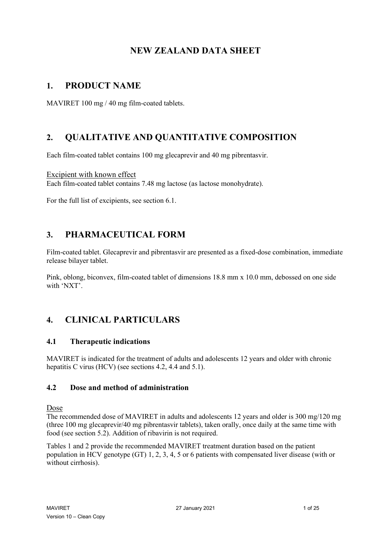# **NEW ZEALAND DATA SHEET**

# **1. PRODUCT NAME**

MAVIRET 100 mg / 40 mg film-coated tablets.

# **2. QUALITATIVE AND QUANTITATIVE COMPOSITION**

Each film-coated tablet contains 100 mg glecaprevir and 40 mg pibrentasvir.

Excipient with known effect Each film-coated tablet contains 7.48 mg lactose (as lactose monohydrate).

For the full list of excipients, see section 6.1.

# **3. PHARMACEUTICAL FORM**

Film-coated tablet. Glecaprevir and pibrentasvir are presented as a fixed-dose combination, immediate release bilayer tablet.

Pink, oblong, biconvex, film-coated tablet of dimensions 18.8 mm x 10.0 mm, debossed on one side with 'NXT'.

# **4. CLINICAL PARTICULARS**

# **4.1 Therapeutic indications**

MAVIRET is indicated for the treatment of adults and adolescents 12 years and older with chronic hepatitis C virus (HCV) (see sections 4.2, 4.4 and 5.1).

# **4.2 Dose and method of administration**

Dose

The recommended dose of MAVIRET in adults and adolescents 12 years and older is 300 mg/120 mg (three 100 mg glecaprevir/40 mg pibrentasvir tablets), taken orally, once daily at the same time with food (see section 5.2). Addition of ribavirin is not required.

Tables 1 and 2 provide the recommended MAVIRET treatment duration based on the patient population in HCV genotype (GT) 1, 2, 3, 4, 5 or 6 patients with compensated liver disease (with or without cirrhosis).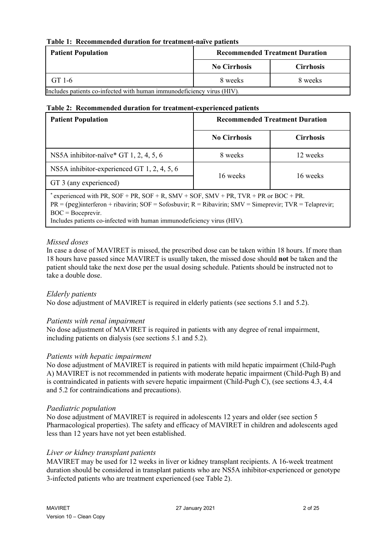## **Table 1: Recommended duration for treatment-naïve patients**

| <b>Patient Population</b>                                              |                     | <b>Recommended Treatment Duration</b> |  |
|------------------------------------------------------------------------|---------------------|---------------------------------------|--|
|                                                                        | <b>No Cirrhosis</b> | <b>Cirrhosis</b>                      |  |
| GT 1-6                                                                 | 8 weeks             | 8 weeks                               |  |
| Includes patients co-infected with human immunodeficiency virus (HIV). |                     |                                       |  |

**Table 2: Recommended duration for treatment-experienced patients**

| <b>Patient Population</b>                                                                                                                                                                                               | <b>Recommended Treatment Duration</b> |                  |  |  |
|-------------------------------------------------------------------------------------------------------------------------------------------------------------------------------------------------------------------------|---------------------------------------|------------------|--|--|
|                                                                                                                                                                                                                         | <b>No Cirrhosis</b>                   | <b>Cirrhosis</b> |  |  |
| NS5A inhibitor-naïve* GT 1, 2, 4, 5, 6                                                                                                                                                                                  | 8 weeks                               | 12 weeks         |  |  |
| NS5A inhibitor-experienced GT 1, 2, 4, 5, 6                                                                                                                                                                             | 16 weeks                              | 16 weeks         |  |  |
| GT 3 (any experienced)                                                                                                                                                                                                  |                                       |                  |  |  |
| * experienced with PR, SOF + PR, SOF + R, SMV + SOF, SMV + PR, TVR + PR or BOC + PR.<br>$PR = (peg)interferon + ribavirin; SOF = Sofosbuvir; R = Ribavirin; SMV = Simeprevir; TVR = Telaprevir;$<br>$BOC = Boceprevir.$ |                                       |                  |  |  |

Includes patients co-infected with human immunodeficiency virus (HIV)*.*

## *Missed doses*

In case a dose of MAVIRET is missed, the prescribed dose can be taken within 18 hours. If more than 18 hours have passed since MAVIRET is usually taken, the missed dose should **not** be taken and the patient should take the next dose per the usual dosing schedule. Patients should be instructed not to take a double dose.

## *Elderly patients*

No dose adjustment of MAVIRET is required in elderly patients (see sections 5.1 and 5.2).

## *Patients with renal impairment*

No dose adjustment of MAVIRET is required in patients with any degree of renal impairment, including patients on dialysis (see sections 5.1 and 5.2).

## *Patients with hepatic impairment*

No dose adjustment of MAVIRET is required in patients with mild hepatic impairment (Child-Pugh A) MAVIRET is not recommended in patients with moderate hepatic impairment (Child-Pugh B) and is contraindicated in patients with severe hepatic impairment (Child-Pugh C), (see sections 4.3, 4.4 and 5.2 for contraindications and precautions).

#### *Paediatric population*

No dose adjustment of MAVIRET is required in adolescents 12 years and older (see section 5 Pharmacological properties). The safety and efficacy of MAVIRET in children and adolescents aged less than 12 years have not yet been established.

## *Liver or kidney transplant patients*

MAVIRET may be used for 12 weeks in liver or kidney transplant recipients. A 16-week treatment duration should be considered in transplant patients who are NS5A inhibitor-experienced or genotype 3-infected patients who are treatment experienced (see Table 2).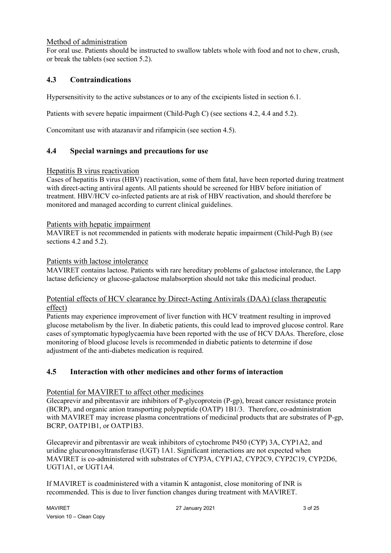## Method of administration

For oral use. Patients should be instructed to swallow tablets whole with food and not to chew, crush, or break the tablets (see section 5.2).

# **4.3 Contraindications**

Hypersensitivity to the active substances or to any of the excipients listed in section 6.1.

Patients with severe hepatic impairment (Child-Pugh C) (see sections 4.2, 4.4 and 5.2).

Concomitant use with atazanavir and rifampicin (see section 4.5).

## **4.4 Special warnings and precautions for use**

## Hepatitis B virus reactivation

Cases of hepatitis B virus (HBV) reactivation, some of them fatal, have been reported during treatment with direct-acting antiviral agents. All patients should be screened for HBV before initiation of treatment. HBV/HCV co-infected patients are at risk of HBV reactivation, and should therefore be monitored and managed according to current clinical guidelines.

#### Patients with hepatic impairment

MAVIRET is not recommended in patients with moderate hepatic impairment (Child-Pugh B) (see sections 4.2 and 5.2).

#### Patients with lactose intolerance

MAVIRET contains lactose. Patients with rare hereditary problems of galactose intolerance, the Lapp lactase deficiency or glucose-galactose malabsorption should not take this medicinal product.

## Potential effects of HCV clearance by Direct-Acting Antivirals (DAA) (class therapeutic effect)

Patients may experience improvement of liver function with HCV treatment resulting in improved glucose metabolism by the liver. In diabetic patients, this could lead to improved glucose control. Rare cases of symptomatic hypoglycaemia have been reported with the use of HCV DAAs. Therefore, close monitoring of blood glucose levels is recommended in diabetic patients to determine if dose adjustment of the anti-diabetes medication is required.

# **4.5 Interaction with other medicines and other forms of interaction**

## Potential for MAVIRET to affect other medicines

Glecaprevir and pibrentasvir are inhibitors of P-glycoprotein (P-gp), breast cancer resistance protein (BCRP), and organic anion transporting polypeptide (OATP) 1B1/3. Therefore, co-administration with MAVIRET may increase plasma concentrations of medicinal products that are substrates of P-gp, BCRP, OATP1B1, or OATP1B3.

Glecaprevir and pibrentasvir are weak inhibitors of cytochrome P450 (CYP) 3A, CYP1A2, and uridine glucuronosyltransferase (UGT) 1A1. Significant interactions are not expected when MAVIRET is co-administered with substrates of CYP3A, CYP1A2, CYP2C9, CYP2C19, CYP2D6, UGT1A1, or UGT1A4.

If MAVIRET is coadministered with a vitamin K antagonist, close monitoring of INR is recommended. This is due to liver function changes during treatment with MAVIRET.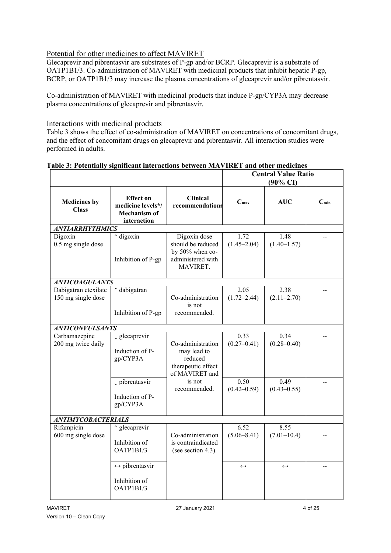# Potential for other medicines to affect MAVIRET

Glecaprevir and pibrentasvir are substrates of P-gp and/or BCRP. Glecaprevir is a substrate of OATP1B1/3. Co-administration of MAVIRET with medicinal products that inhibit hepatic P-gp, BCRP, or OATP1B1/3 may increase the plasma concentrations of glecaprevir and/or pibrentasvir.

Co-administration of MAVIRET with medicinal products that induce P-gp/CYP3A may decrease plasma concentrations of glecaprevir and pibrentasvir.

## Interactions with medicinal products

Table 3 shows the effect of co-administration of MAVIRET on concentrations of concomitant drugs, and the effect of concomitant drugs on glecaprevir and pibrentasvir. All interaction studies were performed in adults.

|                                            |                                                                             |                                                                                       |                         | <b>Central Value Ratio</b><br>$(90\% \text{ CI})$ |                |
|--------------------------------------------|-----------------------------------------------------------------------------|---------------------------------------------------------------------------------------|-------------------------|---------------------------------------------------|----------------|
| <b>Medicines by</b><br><b>Class</b>        | <b>Effect on</b><br>medicine levels*/<br><b>Mechanism of</b><br>interaction | <b>Clinical</b><br>recommendations                                                    | C <sub>max</sub>        | <b>AUC</b>                                        | $C_{min}$      |
| <b>ANTIARRHYTHMICS</b>                     |                                                                             |                                                                                       |                         |                                                   |                |
| Digoxin<br>0.5 mg single dose              | $\uparrow$ digoxin<br>Inhibition of P-gp                                    | Digoxin dose<br>should be reduced<br>by 50% when co-<br>administered with<br>MAVIRET. | 1.72<br>$(1.45 - 2.04)$ | 1.48<br>$(1.40 - 1.57)$                           |                |
| <b>ANTICOAGULANTS</b>                      |                                                                             |                                                                                       |                         |                                                   |                |
| Dabigatran etexilate<br>150 mg single dose | ↑ dabigatran<br>Inhibition of P-gp                                          | Co-administration<br>is not<br>recommended.                                           | 2.05<br>$(1.72 - 2.44)$ | 2.38<br>$(2.11 - 2.70)$                           |                |
|                                            |                                                                             |                                                                                       |                         |                                                   |                |
| <b>ANTICONVULSANTS</b>                     |                                                                             |                                                                                       |                         |                                                   |                |
| Carbamazepine<br>200 mg twice daily        | $\downarrow$ glecaprevir<br>Induction of P-<br>gp/CYP3A                     | Co-administration<br>may lead to<br>reduced<br>therapeutic effect<br>of MAVIRET and   | 0.33<br>$(0.27 - 0.41)$ | 0.34<br>$(0.28 - 0.40)$                           |                |
|                                            | $\downarrow$ pibrentasvir<br>Induction of P-<br>gp/CYP3A                    | is not<br>recommended.                                                                | 0.50<br>$(0.42 - 0.59)$ | 0.49<br>$(0.43 - 0.55)$                           |                |
| <b>ANTIMYCOBACTERIALS</b>                  |                                                                             |                                                                                       |                         |                                                   |                |
| Rifampicin<br>600 mg single dose           | ↑ glecaprevir<br>Inhibition of<br>OATP1B1/3                                 | Co-administration<br>is contraindicated<br>(see section 4.3).                         | 6.52<br>$(5.06 - 8.41)$ | 8.55<br>$(7.01-10.4)$                             |                |
|                                            | $\leftrightarrow$ pibrentasvir<br>Inhibition of<br>OATP1B1/3                |                                                                                       | $\leftrightarrow$       | $\leftrightarrow$                                 | $\overline{a}$ |

## **Table 3: Potentially significant interactions between MAVIRET and other medicines**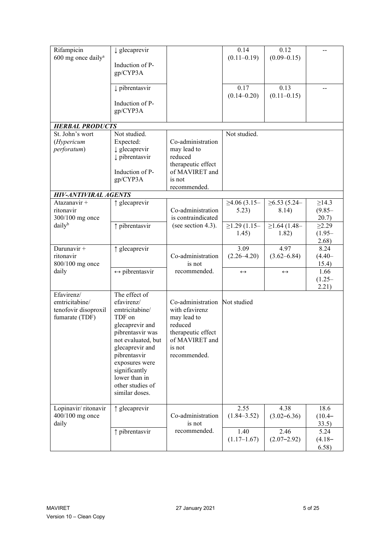| Rifampicin                     | $\downarrow$ glecaprevir       |                    | 0.14               | 0.12                  |             |
|--------------------------------|--------------------------------|--------------------|--------------------|-----------------------|-------------|
| 600 mg once daily <sup>a</sup> |                                |                    | $(0.11 - 0.19)$    | $(0.09 - 0.15)$       |             |
|                                | Induction of P-                |                    |                    |                       |             |
|                                | gp/CYP3A                       |                    |                    |                       |             |
|                                |                                |                    |                    |                       |             |
|                                | pibrentasvir                   |                    | 0.17               | 0.13                  |             |
|                                |                                |                    | $(0.14 - 0.20)$    | $(0.11 - 0.15)$       |             |
|                                | Induction of P-                |                    |                    |                       |             |
|                                | gp/CYP3A                       |                    |                    |                       |             |
|                                |                                |                    |                    |                       |             |
| <b>HERBAL PRODUCTS</b>         |                                |                    |                    |                       |             |
| St. John's wort                | Not studied.                   |                    | Not studied.       |                       |             |
| (Hypericum                     | Expected:                      | Co-administration  |                    |                       |             |
| perforatum)                    | $\downarrow$ glecaprevir       | may lead to        |                    |                       |             |
|                                | pibrentasvir                   | reduced            |                    |                       |             |
|                                |                                | therapeutic effect |                    |                       |             |
|                                | Induction of P-                | of MAVIRET and     |                    |                       |             |
|                                |                                |                    |                    |                       |             |
|                                | gp/CYP3A                       | is not             |                    |                       |             |
|                                |                                | recommended.       |                    |                       |             |
| <b>HIV-ANTIVIRAL AGENTS</b>    |                                |                    |                    |                       |             |
| Atazanavir +                   | ↑ glecaprevir                  |                    | ≥4.06(3.15–        | ≥6.53(5.24–           | $\geq$ 14.3 |
| ritonavir                      |                                | Co-administration  | 5.23)              | 8.14)                 | $(9.85 -$   |
| 300/100 mg once                |                                | is contraindicated |                    |                       | 20.7)       |
| daily <sup>b</sup>             | ↑ pibrentasvir                 | (see section 4.3). | $\geq$ 1.29 (1.15- | $\geq$ 1.64 (1.48–    | $\geq 2.29$ |
|                                |                                |                    | 1.45)              | 1.82)                 | $(1.95 -$   |
|                                |                                |                    |                    |                       | 2.68)       |
| Darunavir +                    | ↑ glecaprevir                  |                    | 3.09               | 4.97                  | 8.24        |
| ritonavir                      |                                | Co-administration  | $(2.26 - 4.20)$    | $(3.62 - 6.84)$       | $(4.40 -$   |
| 800/100 mg once                |                                | is not             |                    |                       | 15.4)       |
| daily                          | $\leftrightarrow$ pibrentasvir | recommended.       | $\leftrightarrow$  | $\longleftrightarrow$ | 1.66        |
|                                |                                |                    |                    |                       | $(1.25 -$   |
|                                |                                |                    |                    |                       | 2.21)       |
| Efavirenz/                     | The effect of                  |                    |                    |                       |             |
| emtricitabine/                 | efavirenz/                     | Co-administration  | Not studied        |                       |             |
|                                | emtricitabine/                 | with efavirenz     |                    |                       |             |
| tenofovir disoproxil           |                                |                    |                    |                       |             |
| fumarate (TDF)                 | TDF on                         | may lead to        |                    |                       |             |
|                                | glecaprevir and                | reduced            |                    |                       |             |
|                                | pibrentasvir was               | therapeutic effect |                    |                       |             |
|                                | not evaluated, but             | of MAVIRET and     |                    |                       |             |
|                                | glecaprevir and                | is not             |                    |                       |             |
|                                | pibrentasvir                   | recommended.       |                    |                       |             |
|                                | exposures were                 |                    |                    |                       |             |
|                                | significantly                  |                    |                    |                       |             |
|                                | lower than in                  |                    |                    |                       |             |
|                                | other studies of               |                    |                    |                       |             |
|                                | similar doses.                 |                    |                    |                       |             |
|                                |                                |                    |                    |                       |             |
| Lopinavir/ritonavir            | ↑ glecaprevir                  |                    | 2.55               | 4.38                  | 18.6        |
| 400/100 mg once                |                                | Co-administration  | $(1.84 - 3.52)$    | $(3.02 - 6.36)$       | $(10.4 -$   |
| daily                          |                                | is not             |                    |                       | 33.5)       |
|                                | ↑ pibrentasvir                 | recommended.       | 1.40               | 2.46                  | 5.24        |
|                                |                                |                    | $(1.17-1.67)$      | $(2.07 - 2.92)$       | $(4.18 -$   |
|                                |                                |                    |                    |                       | 6.58)       |
|                                |                                |                    |                    |                       |             |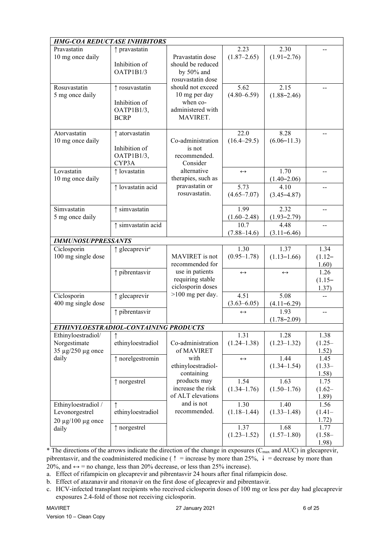| <b>HMG-COA REDUCTASE INHIBITORS</b>   |                            |                                         |                         |                         |                    |
|---------------------------------------|----------------------------|-----------------------------------------|-------------------------|-------------------------|--------------------|
| Pravastatin<br>10 mg once daily       | ↑ pravastatin              | Pravastatin dose                        | 2.23<br>$(1.87 - 2.65)$ | 2.30<br>$(1.91 - 2.76)$ |                    |
|                                       | Inhibition of<br>OATP1B1/3 | should be reduced<br>by $50\%$ and      |                         |                         |                    |
| Rosuvastatin                          |                            | rosuvastatin dose<br>should not exceed  | 5.62                    | 2.15                    |                    |
| 5 mg once daily                       | ↑ rosuvastatin             | 10 mg per day                           | $(4.80 - 6.59)$         | $(1.88 - 2.46)$         |                    |
|                                       | Inhibition of              | when co-                                |                         |                         |                    |
|                                       | OATP1B1/3,                 | administered with                       |                         |                         |                    |
|                                       | <b>BCRP</b>                | MAVIRET.                                |                         |                         |                    |
| Atorvastatin                          | ↑ atorvastatin             |                                         | 22.0                    | 8.28                    |                    |
| 10 mg once daily                      | Inhibition of              | Co-administration<br>is not             | $(16.4 - 29.5)$         | $(6.06 - 11.3)$         |                    |
|                                       | OATP1B1/3,                 | recommended.                            |                         |                         |                    |
|                                       | CYP3A                      | Consider                                |                         |                         |                    |
| Lovastatin                            | ↑ lovastatin               | alternative                             | $\leftrightarrow$       | 1.70                    |                    |
| 10 mg once daily                      | $\uparrow$ lovastatin acid | therapies, such as<br>pravastatin or    | 5.73                    | $(1.40 - 2.06)$<br>4.10 |                    |
|                                       |                            | rosuvastatin.                           | $(4.65 - 7.07)$         | $(3.45 - 4.87)$         |                    |
|                                       |                            |                                         |                         |                         |                    |
| Simvastatin<br>5 mg once daily        | $\uparrow$ simvastatin     |                                         | 1.99<br>$(1.60 - 2.48)$ | 2.32<br>$(1.93 - 2.79)$ |                    |
|                                       | ↑ simvastatin acid         |                                         | 10.7                    | 4.48                    | $-1$               |
|                                       |                            |                                         | $(7.88 - 14.6)$         | $(3.11 - 6.46)$         |                    |
| <b>IMMUNOSUPPRESSANTS</b>             |                            |                                         |                         |                         |                    |
| Ciclosporin                           | ↑ glecaprevir <sup>c</sup> |                                         | 1.30                    | 1.37                    | 1.34               |
| 100 mg single dose                    |                            | MAVIRET is not<br>recommended for       | $(0.95 - 1.78)$         | $(1.13 - 1.66)$         | $(1.12 -$<br>1.60) |
|                                       | ↑ pibrentasvir             | use in patients                         | $\leftrightarrow$       | $\leftrightarrow$       | 1.26               |
|                                       |                            | requiring stable                        |                         |                         | $(1.15-$           |
|                                       |                            | ciclosporin doses<br>$>100$ mg per day. |                         |                         | 1.37)              |
| Ciclosporin<br>400 mg single dose     | $\uparrow$ glecaprevir     |                                         | 4.51<br>$(3.63 - 6.05)$ | 5.08<br>$(4.11 - 6.29)$ | $-$                |
|                                       | $\uparrow$ pibrentasvir    |                                         | $\leftrightarrow$       | 1.93                    | $-1$               |
|                                       |                            |                                         |                         | $(1.78 - 2.09)$         |                    |
| ETHINYLOESTRADIOL-CONTAINING PRODUCTS |                            |                                         |                         |                         |                    |
| Ethinyloestradiol/<br>Norgestimate    | ↑<br>ethinyloestradiol     | Co-administration                       | 1.31<br>$(1.24 - 1.38)$ | 1.28<br>$(1.23 - 1.32)$ | 1.38<br>$(1.25 -$  |
| 35 µg/250 µg once                     |                            | of MAVIRET                              |                         |                         | 1.52)              |
| daily                                 | ↑ norelgestromin           | with                                    | $\leftrightarrow$       | 1.44                    | 1.45               |
|                                       |                            | ethinyloestradiol-                      |                         | $(1.34 - 1.54)$         | $(1.33-$           |
|                                       |                            |                                         |                         |                         |                    |
|                                       |                            | containing                              |                         |                         | 1.58)              |
|                                       | $\uparrow$ norgestrel      | products may<br>increase the risk       | 1.54<br>$(1.34 - 1.76)$ | 1.63<br>$(1.50-1.76)$   | 1.75<br>$(1.62 -$  |
|                                       |                            | of ALT elevations                       |                         |                         | 1.89)              |
| Ethinyloestradiol /                   | ↑                          | and is not                              | 1.30                    | 1.40                    | 1.56               |
| Levonorgestrel                        | ethinyloestradiol          | recommended.                            | $(1.18 - 1.44)$         | $(1.33 - 1.48)$         | $(1.41 -$<br>1.72) |
| $20 \mu g/100 \mu g$ once<br>daily    | ↑ norgestrel               |                                         | 1.37                    | 1.68                    | 1.77               |
|                                       |                            |                                         | $(1.23 - 1.52)$         | $(1.57-1.80)$           | $(1.58 -$<br>1.98) |

 $*$  The directions of the arrows indicate the direction of the change in exposures ( $C_{\text{max}}$  and AUC) in glecaprevir, pibrentasvir, and the coadministered medicine (↑ = increase by more than 25%, ↓ = decrease by more than 20%, and  $\leftrightarrow$  = no change, less than 20% decrease, or less than 25% increase).

a. Effect of rifampicin on glecaprevir and pibrentasvir 24 hours after final rifampicin dose.

b. Effect of atazanavir and ritonavir on the first dose of glecaprevir and pibrentasvir.

c. HCV-infected transplant recipients who received ciclosporin doses of 100 mg or less per day had glecaprevir exposures 2.4-fold of those not receiving ciclosporin.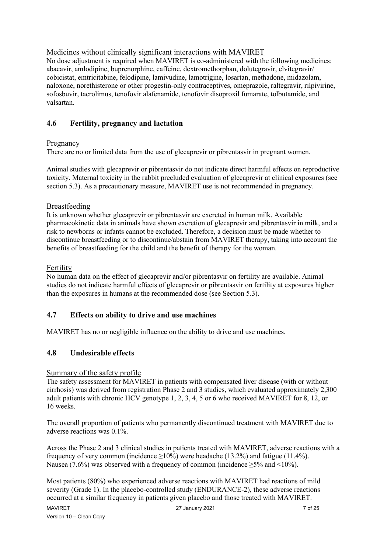# Medicines without clinically significant interactions with MAVIRET

No dose adjustment is required when MAVIRET is co-administered with the following medicines: abacavir, amlodipine, buprenorphine, caffeine, dextromethorphan, dolutegravir, elvitegravir/ cobicistat, emtricitabine, felodipine, lamivudine, lamotrigine, losartan, methadone, midazolam, naloxone, norethisterone or other progestin-only contraceptives, omeprazole, raltegravir, rilpivirine, sofosbuvir, tacrolimus, tenofovir alafenamide, tenofovir disoproxil fumarate, tolbutamide, and valsartan.

# **4.6 Fertility, pregnancy and lactation**

## Pregnancy

There are no or limited data from the use of glecaprevir or pibrentasvir in pregnant women.

Animal studies with glecaprevir or pibrentasvir do not indicate direct harmful effects on reproductive toxicity. Maternal toxicity in the rabbit precluded evaluation of glecaprevir at clinical exposures (see section 5.3). As a precautionary measure, MAVIRET use is not recommended in pregnancy.

## Breastfeeding

It is unknown whether glecaprevir or pibrentasvir are excreted in human milk. Available pharmacokinetic data in animals have shown excretion of glecaprevir and pibrentasvir in milk, and a risk to newborns or infants cannot be excluded. Therefore, a decision must be made whether to discontinue breastfeeding or to discontinue/abstain from MAVIRET therapy, taking into account the benefits of breastfeeding for the child and the benefit of therapy for the woman.

## Fertility

No human data on the effect of glecaprevir and/or pibrentasvir on fertility are available. Animal studies do not indicate harmful effects of glecaprevir or pibrentasvir on fertility at exposures higher than the exposures in humans at the recommended dose (see Section 5.3).

# **4.7 Effects on ability to drive and use machines**

MAVIRET has no or negligible influence on the ability to drive and use machines.

# **4.8 Undesirable effects**

## Summary of the safety profile

The safety assessment for MAVIRET in patients with compensated liver disease (with or without cirrhosis) was derived from registration Phase 2 and 3 studies, which evaluated approximately 2,300 adult patients with chronic HCV genotype 1, 2, 3, 4, 5 or 6 who received MAVIRET for 8, 12, or 16 weeks.

The overall proportion of patients who permanently discontinued treatment with MAVIRET due to adverse reactions was 0.1%.

Across the Phase 2 and 3 clinical studies in patients treated with MAVIRET, adverse reactions with a frequency of very common (incidence  $\geq 10\%$ ) were headache (13.2%) and fatigue (11.4%). Nausea (7.6%) was observed with a frequency of common (incidence  $\geq 5\%$  and <10%).

Most patients (80%) who experienced adverse reactions with MAVIRET had reactions of mild severity (Grade 1). In the placebo-controlled study (ENDURANCE-2), these adverse reactions occurred at a similar frequency in patients given placebo and those treated with MAVIRET.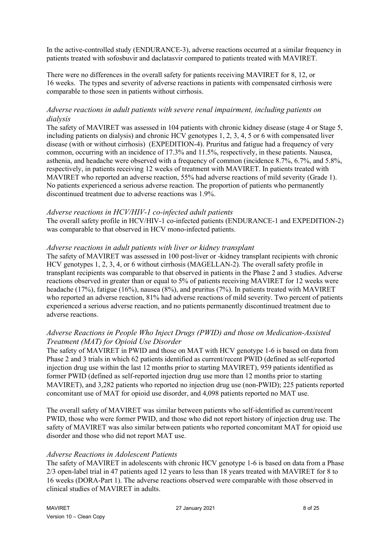In the active-controlled study (ENDURANCE-3), adverse reactions occurred at a similar frequency in patients treated with sofosbuvir and daclatasvir compared to patients treated with MAVIRET.

There were no differences in the overall safety for patients receiving MAVIRET for 8, 12, or 16 weeks. The types and severity of adverse reactions in patients with compensated cirrhosis were comparable to those seen in patients without cirrhosis.

## *Adverse reactions in adult patients with severe renal impairment, including patients on dialysis*

The safety of MAVIRET was assessed in 104 patients with chronic kidney disease (stage 4 or Stage 5, including patients on dialysis) and chronic HCV genotypes 1, 2, 3, 4, 5 or 6 with compensated liver disease (with or without cirrhosis) (EXPEDITION-4). Pruritus and fatigue had a frequency of very common, occurring with an incidence of 17.3% and 11.5%, respectively, in these patients. Nausea, asthenia, and headache were observed with a frequency of common (incidence 8.7%, 6.7%, and 5.8%, respectively, in patients receiving 12 weeks of treatment with MAVIRET. In patients treated with MAVIRET who reported an adverse reaction, 55% had adverse reactions of mild severity (Grade 1). No patients experienced a serious adverse reaction. The proportion of patients who permanently discontinued treatment due to adverse reactions was 1.9%.

#### *Adverse reactions in HCV/HIV-1 co-infected adult patients*

The overall safety profile in HCV/HIV-1 co-infected patients (ENDURANCE-1 and EXPEDITION-2) was comparable to that observed in HCV mono-infected patients.

#### *Adverse reactions in adult patients with liver or kidney transplant*

The safety of MAVIRET was assessed in 100 post-liver or -kidney transplant recipients with chronic HCV genotypes 1, 2, 3, 4, or 6 without cirrhosis (MAGELLAN-2). The overall safety profile in transplant recipients was comparable to that observed in patients in the Phase 2 and 3 studies. Adverse reactions observed in greater than or equal to 5% of patients receiving MAVIRET for 12 weeks were headache (17%), fatigue (16%), nausea (8%), and pruritus (7%). In patients treated with MAVIRET who reported an adverse reaction, 81% had adverse reactions of mild severity. Two percent of patients experienced a serious adverse reaction, and no patients permanently discontinued treatment due to adverse reactions.

## *Adverse Reactions in People Who Inject Drugs (PWID) and those on Medication-Assisted Treatment (MAT) for Opioid Use Disorder*

The safety of MAVIRET in PWID and those on MAT with HCV genotype 1-6 is based on data from Phase 2 and 3 trials in which 62 patients identified as current/recent PWID (defined as self-reported injection drug use within the last 12 months prior to starting MAVIRET), 959 patients identified as former PWID (defined as self-reported injection drug use more than 12 months prior to starting MAVIRET), and 3,282 patients who reported no injection drug use (non-PWID); 225 patients reported concomitant use of MAT for opioid use disorder, and 4,098 patients reported no MAT use.

The overall safety of MAVIRET was similar between patients who self-identified as current/recent PWID, those who were former PWID, and those who did not report history of injection drug use. The safety of MAVIRET was also similar between patients who reported concomitant MAT for opioid use disorder and those who did not report MAT use.

## *Adverse Reactions in Adolescent Patients*

The safety of MAVIRET in adolescents with chronic HCV genotype 1-6 is based on data from a Phase 2/3 open-label trial in 47 patients aged 12 years to less than 18 years treated with MAVIRET for 8 to 16 weeks (DORA-Part 1). The adverse reactions observed were comparable with those observed in clinical studies of MAVIRET in adults.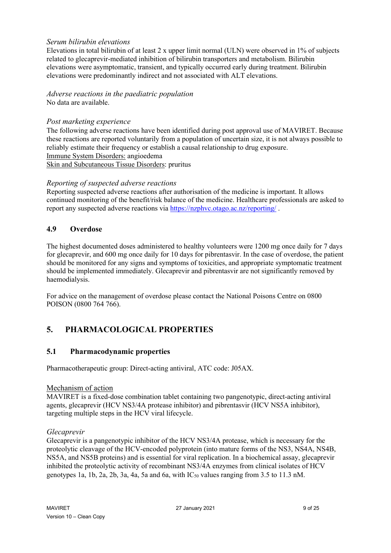## *Serum bilirubin elevations*

Elevations in total bilirubin of at least 2 x upper limit normal (ULN) were observed in 1% of subjects related to glecaprevir-mediated inhibition of bilirubin transporters and metabolism. Bilirubin elevations were asymptomatic, transient, and typically occurred early during treatment. Bilirubin elevations were predominantly indirect and not associated with ALT elevations.

## *Adverse reactions in the paediatric population* No data are available.

## *Post marketing experience*

The following adverse reactions have been identified during post approval use of MAVIRET. Because these reactions are reported voluntarily from a population of uncertain size, it is not always possible to reliably estimate their frequency or establish a causal relationship to drug exposure. Immune System Disorders: angioedema Skin and Subcutaneous Tissue Disorders: pruritus

## *Reporting of suspected adverse reactions*

Reporting suspected adverse reactions after authorisation of the medicine is important. It allows continued monitoring of the benefit/risk balance of the medicine. Healthcare professionals are asked to report any suspected adverse reactions via<https://nzphvc.otago.ac.nz/reporting/> .

## **4.9 Overdose**

The highest documented doses administered to healthy volunteers were 1200 mg once daily for 7 days for glecaprevir, and 600 mg once daily for 10 days for pibrentasvir. In the case of overdose, the patient should be monitored for any signs and symptoms of toxicities, and appropriate symptomatic treatment should be implemented immediately. Glecaprevir and pibrentasvir are not significantly removed by haemodialysis.

For advice on the management of overdose please contact the National Poisons Centre on 0800 POISON (0800 764 766).

# **5. PHARMACOLOGICAL PROPERTIES**

# **5.1 Pharmacodynamic properties**

Pharmacotherapeutic group: Direct-acting antiviral, ATC code: J05AX.

#### Mechanism of action

MAVIRET is a fixed-dose combination tablet containing two pangenotypic, direct-acting antiviral agents, glecaprevir (HCV NS3/4A protease inhibitor) and pibrentasvir (HCV NS5A inhibitor), targeting multiple steps in the HCV viral lifecycle.

## *Glecaprevir*

Glecaprevir is a pangenotypic inhibitor of the HCV NS3/4A protease, which is necessary for the proteolytic cleavage of the HCV-encoded polyprotein (into mature forms of the NS3, NS4A, NS4B, NS5A, and NS5B proteins) and is essential for viral replication. In a biochemical assay, glecaprevir inhibited the proteolytic activity of recombinant NS3/4A enzymes from clinical isolates of HCV genotypes 1a, 1b, 2a, 2b, 3a, 4a, 5a and 6a, with  $IC_{50}$  values ranging from 3.5 to 11.3 nM.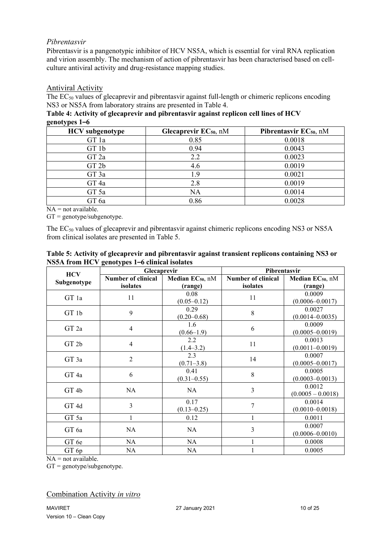## *Pibrentasvir*

Pibrentasvir is a pangenotypic inhibitor of HCV NS5A, which is essential for viral RNA replication and virion assembly. The mechanism of action of pibrentasvir has been characterised based on cellculture antiviral activity and drug-resistance mapping studies.

## Antiviral Activity

The EC<sub>50</sub> values of glecaprevir and pibrentasvir against full-length or chimeric replicons encoding NS3 or NS5A from laboratory strains are presented in Table 4.

**Table 4: Activity of glecaprevir and pibrentasvir against replicon cell lines of HCV genotypes 1–6**

| <b>HCV</b> subgenotype | Glecaprevir $EC_{50}$ , nM | Pibrentasvir $EC_{50}$ , nM |
|------------------------|----------------------------|-----------------------------|
| GT 1a                  | 0.85                       | 0.0018                      |
| GT 1b                  | 0.94                       | 0.0043                      |
| GT <sub>2a</sub>       | 2.2                        | 0.0023                      |
| GT <sub>2b</sub>       | 4.6                        | 0.0019                      |
| GT 3a                  | 1.9                        | 0.0021                      |
| GT <sub>4a</sub>       | 2.8                        | 0.0019                      |
| GT 5a                  | <b>NA</b>                  | 0.0014                      |
| GT 6a                  | 0.86                       | 0.0028                      |

 $NA = not available.$ 

 $GT =$  genotype/subgenotype.

The EC<sub>50</sub> values of glecaprevir and pibrentasvir against chimeric replicons encoding NS3 or NS5A from clinical isolates are presented in Table 5.

| <b>HCV</b>       | <b>Glecaprevir</b>        |                              | Pibrentasvir              |                              |
|------------------|---------------------------|------------------------------|---------------------------|------------------------------|
|                  | <b>Number of clinical</b> | Median EC <sub>50</sub> , nM | <b>Number of clinical</b> | Median EC <sub>50</sub> , nM |
| Subgenotype      | isolates                  | (range)                      | isolates                  | (range)                      |
|                  |                           | 0.08                         |                           | 0.0009                       |
| GT 1a            | 11                        | $(0.05 - 0.12)$              | 11                        | $(0.0006 - 0.0017)$          |
|                  | 9                         | 0.29                         | 8                         | 0.0027                       |
| GT 1b            |                           | $(0.20 - 0.68)$              |                           | $(0.0014 - 0.0035)$          |
| GT <sub>2a</sub> | 4                         | 1.6                          | 6                         | 0.0009                       |
|                  |                           | $(0.66 - 1.9)$               |                           | $(0.0005 - 0.0019)$          |
|                  |                           | 2.2                          | 11                        | 0.0013                       |
| GT2b             | 4                         | $(1.4 - 3.2)$                |                           | $(0.0011 - 0.0019)$          |
| GT 3a            | $\overline{2}$            | 2.3                          | 14                        | 0.0007                       |
|                  |                           | $(0.71 - 3.8)$               |                           | $(0.0005 - 0.0017)$          |
| GT <sub>4a</sub> |                           | 0.41                         | 8                         | 0.0005                       |
|                  | 6                         | $(0.31 - 0.55)$              |                           | $(0.0003 - 0.0013)$          |
| GT <sub>4b</sub> | <b>NA</b>                 | <b>NA</b>                    | 3                         | 0.0012                       |
|                  |                           |                              |                           | $(0.0005 - 0.0018)$          |
| GT <sub>4d</sub> | 3                         | 0.17                         | 7                         | 0.0014                       |
|                  |                           | $(0.13 - 0.25)$              |                           | $(0.0010 - 0.0018)$          |
| GT 5a            |                           | 0.12                         | 1                         | 0.0011                       |
|                  |                           |                              |                           | 0.0007                       |
| GT 6a            | NA                        | <b>NA</b>                    | 3                         | $(0.0006 - 0.0010)$          |
| GT 6e            | NA                        | <b>NA</b>                    | 1                         | 0.0008                       |
| GT 6p            | NA                        | <b>NA</b>                    |                           | 0.0005                       |

### **Table 5: Activity of glecaprevir and pibrentasvir against transient replicons containing NS3 or NS5A from HCV genotypes 1–6 clinical isolates**

 $NA = not available.$ 

GT = genotype/subgenotype.

## Combination Activity *in vitro*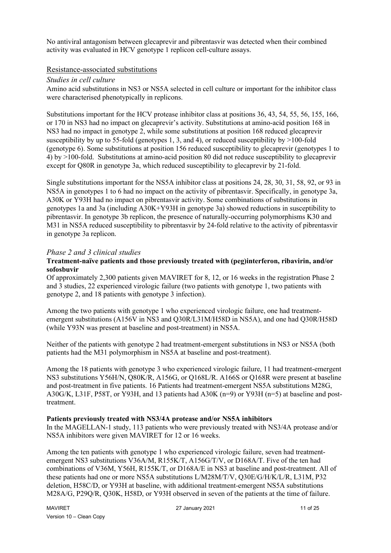No antiviral antagonism between glecaprevir and pibrentasvir was detected when their combined activity was evaluated in HCV genotype 1 replicon cell-culture assays.

#### Resistance-associated substitutions

#### *Studies in cell culture*

Amino acid substitutions in NS3 or NS5A selected in cell culture or important for the inhibitor class were characterised phenotypically in replicons.

Substitutions important for the HCV protease inhibitor class at positions 36, 43, 54, 55, 56, 155, 166, or 170 in NS3 had no impact on glecaprevir's activity. Substitutions at amino-acid position 168 in NS3 had no impact in genotype 2, while some substitutions at position 168 reduced glecaprevir susceptibility by up to 55-fold (genotypes 1, 3, and 4), or reduced susceptibility by  $>100$ -fold (genotype 6). Some substitutions at position 156 reduced susceptibility to glecaprevir (genotypes 1 to 4) by >100-fold. Substitutions at amino-acid position 80 did not reduce susceptibility to glecaprevir except for Q80R in genotype 3a, which reduced susceptibility to glecaprevir by 21-fold.

Single substitutions important for the NS5A inhibitor class at positions 24, 28, 30, 31, 58, 92, or 93 in NS5A in genotypes 1 to 6 had no impact on the activity of pibrentasvir. Specifically, in genotype 3a, A30K or Y93H had no impact on pibrentasvir activity. Some combinations of substitutions in genotypes 1a and 3a (including A30K+Y93H in genotype 3a) showed reductions in susceptibility to pibrentasvir. In genotype 3b replicon, the presence of naturally-occurring polymorphisms K30 and M31 in NS5A reduced susceptibility to pibrentasvir by 24-fold relative to the activity of pibrentasvir in genotype 3a replicon.

#### *Phase 2 and 3 clinical studies*

#### **Treatment-naïve patients and those previously treated with (peg)interferon, ribavirin, and/or sofosbuvir**

Of approximately 2,300 patients given MAVIRET for 8, 12, or 16 weeks in the registration Phase 2 and 3 studies, 22 experienced virologic failure (two patients with genotype 1, two patients with genotype 2, and 18 patients with genotype 3 infection).

Among the two patients with genotype 1 who experienced virologic failure, one had treatmentemergent substitutions (A156V in NS3 and Q30R/L31M/H58D in NS5A), and one had Q30R/H58D (while Y93N was present at baseline and post-treatment) in NS5A.

Neither of the patients with genotype 2 had treatment-emergent substitutions in NS3 or NS5A (both patients had the M31 polymorphism in NS5A at baseline and post-treatment).

Among the 18 patients with genotype 3 who experienced virologic failure, 11 had treatment-emergent NS3 substitutions Y56H/N, Q80K/R, A156G, or Q168L/R. A166S or Q168R were present at baseline and post-treatment in five patients. 16 Patients had treatment-emergent NS5A substitutions M28G, A30G/K, L31F, P58T, or Y93H, and 13 patients had A30K (n=9) or Y93H (n=5) at baseline and posttreatment.

#### **Patients previously treated with NS3/4A protease and/or NS5A inhibitors**

In the MAGELLAN-1 study, 113 patients who were previously treated with NS3/4A protease and/or NS5A inhibitors were given MAVIRET for 12 or 16 weeks.

Among the ten patients with genotype 1 who experienced virologic failure, seven had treatmentemergent NS3 substitutions V36A/M, R155K/T, A156G/T/V, or D168A/T. Five of the ten had combinations of V36M, Y56H, R155K/T, or D168A/E in NS3 at baseline and post-treatment. All of these patients had one or more NS5A substitutions L/M28M/T/V, Q30E/G/H/K/L/R, L31M, P32 deletion, H58C/D, or Y93H at baseline, with additional treatment-emergent NS5A substitutions M28A/G, P29Q/R, Q30K, H58D, or Y93H observed in seven of the patients at the time of failure.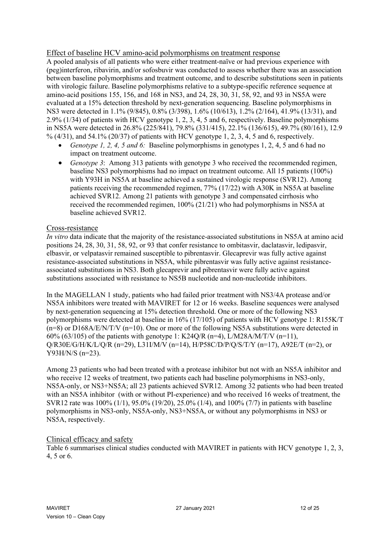## Effect of baseline HCV amino-acid polymorphisms on treatment response

A pooled analysis of all patients who were either treatment-naïve or had previous experience with (peg)interferon, ribavirin, and/or sofosbuvir was conducted to assess whether there was an association between baseline polymorphisms and treatment outcome, and to describe substitutions seen in patients with virologic failure. Baseline polymorphisms relative to a subtype-specific reference sequence at amino-acid positions 155, 156, and 168 in NS3, and 24, 28, 30, 31, 58, 92, and 93 in NS5A were evaluated at a 15% detection threshold by next-generation sequencing. Baseline polymorphisms in NS3 were detected in 1.1% (9/845), 0.8% (3/398), 1.6% (10/613), 1.2% (2/164), 41.9% (13/31), and 2.9% (1/34) of patients with HCV genotype 1, 2, 3, 4, 5 and 6, respectively. Baseline polymorphisms in NS5A were detected in 26.8% (225/841), 79.8% (331/415), 22.1% (136/615), 49.7% (80/161), 12.9 % (4/31), and 54.1% (20/37) of patients with HCV genotype 1, 2, 3, 4, 5 and 6, respectively.

- *Genotype 1, 2, 4, 5 and 6:* Baseline polymorphisms in genotypes 1, 2, 4, 5 and 6 had no impact on treatment outcome.
- *Genotype 3*: Among 313 patients with genotype 3 who received the recommended regimen, baseline NS3 polymorphisms had no impact on treatment outcome. All 15 patients (100%) with Y93H in NS5A at baseline achieved a sustained virologic response (SVR12). Among patients receiving the recommended regimen, 77% (17/22) with A30K in NS5A at baseline achieved SVR12. Among 21 patients with genotype 3 and compensated cirrhosis who received the recommended regimen, 100% (21/21) who had polymorphisms in NS5A at baseline achieved SVR12.

#### Cross-resistance

*In vitro* data indicate that the majority of the resistance-associated substitutions in NS5A at amino acid positions 24, 28, 30, 31, 58, 92, or 93 that confer resistance to ombitasvir, daclatasvir, ledipasvir, elbasvir, or velpatasvir remained susceptible to pibrentasvir. Glecaprevir was fully active against resistance-associated substitutions in NS5A, while pibrentasvir was fully active against resistanceassociated substitutions in NS3. Both glecaprevir and pibrentasvir were fully active against substitutions associated with resistance to NS5B nucleotide and non-nucleotide inhibitors.

In the MAGELLAN 1 study, patients who had failed prior treatment with NS3/4A protease and/or NS5A inhibitors were treated with MAVIRET for 12 or 16 weeks. Baseline sequences were analysed by next-generation sequencing at 15% detection threshold. One or more of the following NS3 polymorphisms were detected at baseline in 16% (17/105) of patients with HCV genotype 1: R155K/T  $(n=8)$  or D168A/E/N/T/V  $(n=10)$ . One or more of the following NS5A substitutions were detected in 60% (63/105) of the patients with genotype 1: K24Q/R (n=4), L/M28A/M/T/V (n=11),  $Q/R30E/G/H/K/L/Q/R$  (n=29), L31I/M/V (n=14), H/P58C/D/P/Q/S/T/Y (n=17), A92E/T (n=2), or Y93H/N/S (n=23).

Among 23 patients who had been treated with a protease inhibitor but not with an NS5A inhibitor and who receive 12 weeks of treatment, two patients each had baseline polymorphisms in NS3-only, NS5A-only, or NS3+NS5A; all 23 patients achieved SVR12. Among 32 patients who had been treated with an NS5A inhibitor (with or without PI-experience) and who received 16 weeks of treatment, the SVR12 rate was 100% (1/1), 95.0% (19/20), 25.0% (1/4), and 100% (7/7) in patients with baseline polymorphisms in NS3-only, NS5A-only, NS3+NS5A, or without any polymorphisms in NS3 or NS5A, respectively.

## Clinical efficacy and safety

Table 6 summarises clinical studies conducted with MAVIRET in patients with HCV genotype 1, 2, 3, 4, 5 or 6.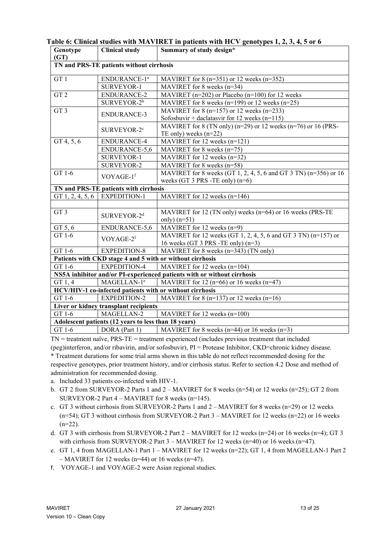| Genotype                                                                | <b>Clinical study</b>                                     | Summary of study design*                                              |  |  |  |
|-------------------------------------------------------------------------|-----------------------------------------------------------|-----------------------------------------------------------------------|--|--|--|
| (GT)                                                                    |                                                           |                                                                       |  |  |  |
|                                                                         | TN and PRS-TE patients without cirrhosis                  |                                                                       |  |  |  |
| GT1                                                                     | ENDURANCE-1 <sup>a</sup>                                  | MAVIRET for $8$ (n=351) or 12 weeks (n=352)                           |  |  |  |
|                                                                         | SURVEYOR-1                                                | MAVIRET for 8 weeks $(n=34)$                                          |  |  |  |
| GT <sub>2</sub>                                                         | ENDURANCE-2                                               | MAVIRET ( $n=202$ ) or Placebo ( $n=100$ ) for 12 weeks               |  |  |  |
|                                                                         | SURVEYOR-2 <sup>b</sup>                                   | MAVIRET for 8 weeks ( $n=199$ ) or 12 weeks ( $n=25$ )                |  |  |  |
| GT3                                                                     |                                                           | MAVIRET for 8 $(n=157)$ or 12 weeks $(n=233)$                         |  |  |  |
|                                                                         | ENDURANCE-3                                               | Sofosbuvir + daclatasvir for 12 weeks ( $n=115$ )                     |  |  |  |
|                                                                         | SURVEYOR-2 <sup>c</sup>                                   | MAVIRET for 8 (TN only) ( $n=29$ ) or 12 weeks ( $n=76$ ) or 16 (PRS- |  |  |  |
|                                                                         |                                                           | TE only) weeks $(n=22)$                                               |  |  |  |
| GT 4, 5, 6                                                              | ENDURANCE-4                                               | MAVIRET for 12 weeks $(n=121)$                                        |  |  |  |
|                                                                         | ENDURANCE-5,6                                             | MAVIRET for 8 weeks $(n=75)$                                          |  |  |  |
|                                                                         | SURVEYOR-1                                                | MAVIRET for 12 weeks $(n=32)$                                         |  |  |  |
|                                                                         | SURVEYOR-2                                                | MAVIRET for 8 weeks $(n=58)$                                          |  |  |  |
| GT 1-6<br>VOYAGE-1f                                                     |                                                           | MAVIRET for 8 weeks (GT 1, 2, 4, 5, 6 and GT 3 TN) (n=356) or 16      |  |  |  |
|                                                                         |                                                           | weeks (GT 3 PRS -TE only) (n=6)                                       |  |  |  |
|                                                                         | TN and PRS-TE patients with cirrhosis                     |                                                                       |  |  |  |
| GT $1, 2, 4, 5, 6$                                                      | <b>EXPEDITION-1</b>                                       | MAVIRET for 12 weeks $(n=146)$                                        |  |  |  |
|                                                                         |                                                           |                                                                       |  |  |  |
| GT <sub>3</sub><br>SURVEYOR-2 <sup>d</sup>                              |                                                           | MAVIRET for 12 (TN only) weeks ( $n=64$ ) or 16 weeks (PRS-TE         |  |  |  |
|                                                                         |                                                           | only) $(n=51)$                                                        |  |  |  |
| GT 5, 6                                                                 | ENDURANCE-5,6                                             | MAVIRET for 12 weeks (n=9)                                            |  |  |  |
| GT 1-6                                                                  | VOYAGE-2f                                                 | MAVIRET for 12 weeks (GT 1, 2, 4, 5, 6 and GT 3 TN) ( $n=157$ ) or    |  |  |  |
|                                                                         |                                                           | 16 weeks (GT 3 PRS -TE only) $(n=3)$                                  |  |  |  |
| GT 1-6                                                                  | <b>EXPEDITION-8</b>                                       | MAVIRET for 8 weeks (n=343) (TN only)                                 |  |  |  |
|                                                                         | Patients with CKD stage 4 and 5 with or without cirrhosis |                                                                       |  |  |  |
| GT 1-6                                                                  | <b>EXPEDITION-4</b>                                       | MAVIRET for 12 weeks (n=104)                                          |  |  |  |
| NS5A inhibitor and/or PI-experienced patients with or without cirrhosis |                                                           |                                                                       |  |  |  |
| GT 1, 4                                                                 | MAGELLAN-1 <sup>e</sup>                                   | MAVIRET for 12 ( $n=66$ ) or 16 weeks ( $n=47$ )                      |  |  |  |
|                                                                         | HCV/HIV-1 co-infected patients with or without cirrhosis  |                                                                       |  |  |  |
| GT 1-6                                                                  | <b>EXPEDITION-2</b>                                       | MAVIRET for 8 ( $n=137$ ) or 12 weeks ( $n=16$ )                      |  |  |  |
|                                                                         | Liver or kidney transplant recipients                     |                                                                       |  |  |  |
| GT 1-6                                                                  | MAGELLAN-2                                                | MAVIRET for 12 weeks (n=100)                                          |  |  |  |
|                                                                         | Adolescent patients (12 years to less than 18 years)      |                                                                       |  |  |  |
| GT 1-6                                                                  | DORA (Part 1)                                             | MAVIRET for 8 weeks ( $n=44$ ) or 16 weeks ( $n=3$ )                  |  |  |  |

**Table 6: Clinical studies with MAVIRET in patients with HCV genotypes 1, 2, 3, 4, 5 or 6** 

TN = treatment naïve, PRS-TE = treatment experienced (includes previous treatment that included (peg)interferon, and/or ribavirin, and/or sofosbuvir), PI = Protease Inhibitor, CKD=chronic kidney disease. \* Treatment durations for some trial arms shown in this table do not reflect recommended dosing for the respective genotypes, prior treatment history, and/or cirrhosis status. Refer to section 4.2 Dose and method of administration for recommended dosing.

- a. Included 33 patients co-infected with HIV-1.
- b. GT 2 from SURVEYOR-2 Parts 1 and 2 MAVIRET for 8 weeks (n=54) or 12 weeks (n=25); GT 2 from SURVEYOR-2 Part 4 – MAVIRET for 8 weeks (n=145).
- c. GT 3 without cirrhosis from SURVEYOR-2 Parts 1 and  $2 \text{MAVIRET}$  for 8 weeks (n=29) or 12 weeks (n=54); GT 3 without cirrhosis from SURVEYOR-2 Part 3 – MAVIRET for 12 weeks (n=22) or 16 weeks  $(n=22)$ .
- d. GT 3 with cirrhosis from SURVEYOR-2 Part 2 MAVIRET for 12 weeks (n=24) or 16 weeks (n=4); GT 3 with cirrhosis from SURVEYOR-2 Part  $3$  – MAVIRET for 12 weeks (n=40) or 16 weeks (n=47).
- e. GT 1, 4 from MAGELLAN-1 Part 1 MAVIRET for 12 weeks (n=22); GT 1, 4 from MAGELLAN-1 Part 2  $-$  MAVIRET for 12 weeks (n=44) or 16 weeks (n=47).
- f. VOYAGE-1 and VOYAGE-2 were Asian regional studies.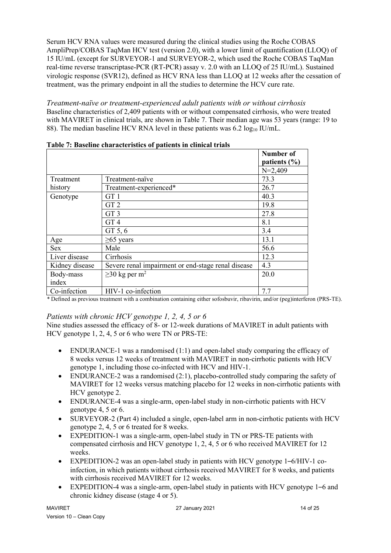Serum HCV RNA values were measured during the clinical studies using the Roche COBAS AmpliPrep/COBAS TaqMan HCV test (version 2.0), with a lower limit of quantification (LLOQ) of 15 IU/mL (except for SURVEYOR-1 and SURVEYOR-2, which used the Roche COBAS TaqMan real-time reverse transcriptase-PCR (RT-PCR) assay v. 2.0 with an LLOQ of 25 IU/mL). Sustained virologic response (SVR12), defined as HCV RNA less than LLOQ at 12 weeks after the cessation of treatment, was the primary endpoint in all the studies to determine the HCV cure rate.

*Treatment-naïve or treatment-experienced adult patients with or without cirrhosis* Baseline characteristics of 2,409 patients with or without compensated cirrhosis, who were treated with MAVIRET in clinical trials, are shown in Table 7. Their median age was 53 years (range: 19 to 88). The median baseline HCV RNA level in these patients was  $6.2 \log_{10} IU/mL$ .

|                | Table 7, Daschilt Characteristics of patients in chinear trials | Number of        |
|----------------|-----------------------------------------------------------------|------------------|
|                |                                                                 | patients $(\% )$ |
|                |                                                                 | $N=2,409$        |
| Treatment      | Treatment-naïve                                                 | 73.3             |
| history        | Treatment-experienced*                                          | 26.7             |
| Genotype       | GT <sub>1</sub>                                                 | 40.3             |
|                | GT <sub>2</sub>                                                 | 19.8             |
|                | GT <sub>3</sub>                                                 | 27.8             |
|                | GT <sub>4</sub>                                                 | 8.1              |
|                | GT 5, 6                                                         | 3.4              |
| Age            | $\geq 65$ years                                                 | 13.1             |
| <b>Sex</b>     | Male                                                            | 56.6             |
| Liver disease  | Cirrhosis                                                       | 12.3             |
| Kidney disease | Severe renal impairment or end-stage renal disease              | 4.3              |
| Body-mass      | $\geq$ 30 kg per m <sup>2</sup>                                 | 20.0             |
| index          |                                                                 |                  |
| Co-infection   | HIV-1 co-infection                                              | 7.7              |

**Table 7: Baseline characteristics of patients in clinical trials** 

*\** Defined as previous treatment with a combination containing either sofosbuvir, ribavirin, and/or (peg)interferon (PRS-TE).

# *Patients with chronic HCV genotype 1, 2, 4, 5 or 6*

Nine studies assessed the efficacy of 8- or 12-week durations of MAVIRET in adult patients with HCV genotype 1, 2, 4, 5 or 6 who were TN or PRS-TE:

- ENDURANCE-1 was a randomised  $(1:1)$  and open-label study comparing the efficacy of 8 weeks versus 12 weeks of treatment with MAVIRET in non-cirrhotic patients with HCV genotype 1, including those co-infected with HCV and HIV-1.
- ENDURANCE-2 was a randomised  $(2:1)$ , placebo-controlled study comparing the safety of MAVIRET for 12 weeks versus matching placebo for 12 weeks in non-cirrhotic patients with HCV genotype 2.
- ENDURANCE-4 was a single-arm, open-label study in non-cirrhotic patients with HCV genotype 4, 5 or 6.
- SURVEYOR-2 (Part 4) included a single, open-label arm in non-cirrhotic patients with HCV genotype 2, 4, 5 or 6 treated for 8 weeks.
- EXPEDITION-1 was a single-arm, open-label study in TN or PRS-TE patients with compensated cirrhosis and HCV genotype 1, 2, 4, 5 or 6 who received MAVIRET for 12 weeks.
- EXPEDITION-2 was an open-label study in patients with HCV genotype 1–6/HIV-1 coinfection, in which patients without cirrhosis received MAVIRET for 8 weeks, and patients with cirrhosis received MAVIRET for 12 weeks.
- EXPEDITION-4 was a single-arm, open-label study in patients with HCV genotype 1–6 and chronic kidney disease (stage 4 or 5).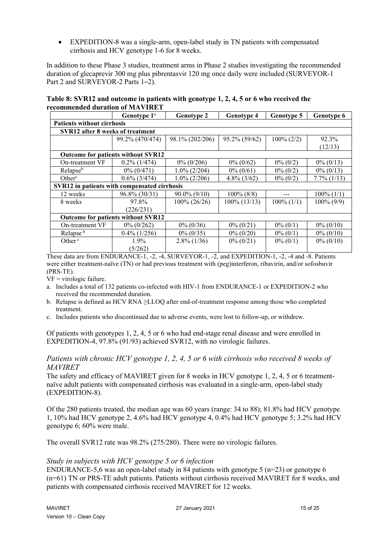• EXPEDITION-8 was a single-arm, open-label study in TN patients with compensated cirrhosis and HCV genotype 1-6 for 8 weeks.

In addition to these Phase 3 studies, treatment arms in Phase 2 studies investigating the recommended duration of glecaprevir 300 mg plus pibrentasvir 120 mg once daily were included (SURVEYOR-1 Part 2 and SURVEYOR-2 Parts 1–2).

**Table 8: SVR12 and outcome in patients with genotype 1, 2, 4, 5 or 6 who received the recommended duration of MAVIRET**

|                                              | Genotype 1 <sup>a</sup>                   | <b>Genotype 2</b> | <b>Genotype 4</b> | <b>Genotype 5</b> | <b>Genotype 6</b> |
|----------------------------------------------|-------------------------------------------|-------------------|-------------------|-------------------|-------------------|
| <b>Patients without cirrhosis</b>            |                                           |                   |                   |                   |                   |
| SVR12 after 8 weeks of treatment             |                                           |                   |                   |                   |                   |
|                                              | 99.2% (470/474)                           | 98.1% (202/206)   | 95.2% (59/62)     | $100\% (2/2)$     | 92.3%             |
|                                              |                                           |                   |                   |                   | (12/13)           |
|                                              | <b>Outcome for patients without SVR12</b> |                   |                   |                   |                   |
| On-treatment VF                              | $0.2\%$ (1/474)                           | $0\% (0/206)$     | $0\% (0/62)$      | $0\% (0/2)$       | $0\% (0/13)$      |
| Relapse <sup>b</sup>                         | $0\% (0/471)$                             | $1.0\%$ (2/204)   | $0\% (0/61)$      | $0\% (0/2)$       | $0\% (0/13)$      |
| Other <sup>c</sup>                           | $0.6\%$ (3/474)                           | $1.0\%$ (2/206)   | $4.8\%$ (3/62)    | $0\%$ (0/2)       | $7.7\%$ (1/13)    |
| SVR12 in patients with compensated cirrhosis |                                           |                   |                   |                   |                   |
| 12 weeks                                     | $96.8\%$ (30/31)                          | $90.0\%$ (9/10)   | $100\%$ (8/8)     |                   | $100\% (1/1)$     |
| 8 weeks                                      | 97.8%                                     | 100% (26/26)      | 100% (13/13)      | $100\% (1/1)$     | $100\% (9/9)$     |
|                                              | (226/231)                                 |                   |                   |                   |                   |
| Outcome for patients without SVR12           |                                           |                   |                   |                   |                   |
| On-treatment VF                              | $0\%$ (0/262)                             | $0\% (0/36)$      | $0\% (0/21)$      | $0\%$ (0/1)       | $0\% (0/10)$      |
| Relapse <sup>b</sup>                         | $0.4\%$ (1/256)                           | $0\% (0/35)$      | $0\% (0/20)$      | $0\% (0/1)$       | $0\%$ (0/10)      |
| Other $\degree$                              | 1.9%                                      | $2.8\%$ (1/36)    | $0\% (0/21)$      | $0\% (0/1)$       | $0\% (0/10)$      |
|                                              | (5/262)                                   |                   |                   |                   |                   |

These data are from ENDURANCE-1, -2, -4, SURVEYOR-1, -2, and EXPEDITION-1, -2, -4 and -8. Patients were either treatment-naïve (TN) or had previous treatment with (peg)interferon, ribavirin, and/or sofosbuvir (PRS-TE).

 $VF = virologic failure.$ 

- a. Includes a total of 132 patients co-infected with HIV-1 from ENDURANCE-1 or EXPEDITION-2 who received the recommended duration.
- b. Relapse is defined as HCV RNA ≥LLOQ after end-of-treatment response among those who completed treatment.
- c. Includes patients who discontinued due to adverse events, were lost to follow-up, or withdrew.

Of patients with genotypes 1, 2, 4, 5 or 6 who had end-stage renal disease and were enrolled in EXPEDITION-4, 97.8% (91/93) achieved SVR12, with no virologic failures.

#### *Patients with chronic HCV genotype 1, 2, 4, 5 or 6 with cirrhosis who received 8 weeks of MAVIRET*

The safety and efficacy of MAVIRET given for 8 weeks in HCV genotype 1, 2, 4, 5 or 6 treatmentnaïve adult patients with compensated cirrhosis was evaluated in a single-arm, open-label study (EXPEDITION-8).

Of the 280 patients treated, the median age was 60 years (range: 34 to 88); 81.8% had HCV genotype 1, 10% had HCV genotype 2, 4.6% had HCV genotype 4, 0.4% had HCV genotype 5; 3.2% had HCV genotype 6; 60% were male.

The overall SVR12 rate was 98.2% (275/280). There were no virologic failures.

## *Study in subjects with HCV genotype 5 or 6 infection*

ENDURANCE-5,6 was an open-label study in 84 patients with genotype 5 (n=23) or genotype 6 (n=61) TN or PRS-TE adult patients. Patients without cirrhosis received MAVIRET for 8 weeks, and patients with compensated cirrhosis received MAVIRET for 12 weeks.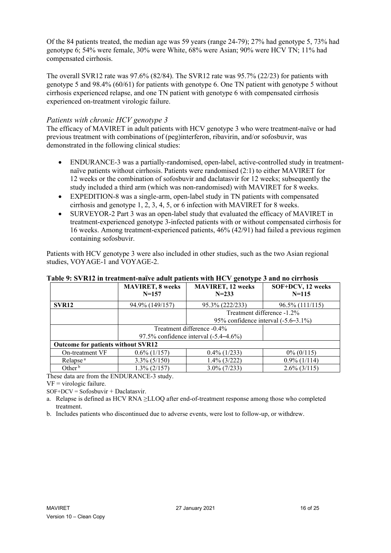Of the 84 patients treated, the median age was 59 years (range 24-79); 27% had genotype 5, 73% had genotype 6; 54% were female, 30% were White, 68% were Asian; 90% were HCV TN; 11% had compensated cirrhosis.

The overall SVR12 rate was 97.6% (82/84). The SVR12 rate was 95.7% (22/23) for patients with genotype 5 and 98.4% (60/61) for patients with genotype 6. One TN patient with genotype 5 without cirrhosis experienced relapse, and one TN patient with genotype 6 with compensated cirrhosis experienced on-treatment virologic failure.

## *Patients with chronic HCV genotype 3*

The efficacy of MAVIRET in adult patients with HCV genotype 3 who were treatment-naïve or had previous treatment with combinations of (peg)interferon, ribavirin, and/or sofosbuvir, was demonstrated in the following clinical studies:

- ENDURANCE-3 was a partially-randomised, open-label, active-controlled study in treatmentnaïve patients without cirrhosis. Patients were randomised (2:1) to either MAVIRET for 12 weeks or the combination of sofosbuvir and daclatasvir for 12 weeks; subsequently the study included a third arm (which was non-randomised) with MAVIRET for 8 weeks.
- EXPEDITION-8 was a single-arm, open-label study in TN patients with compensated cirrhosis and genotype 1, 2, 3, 4, 5, or 6 infection with MAVIRET for 8 weeks.
- SURVEYOR-2 Part 3 was an open-label study that evaluated the efficacy of MAVIRET in treatment-experienced genotype 3-infected patients with or without compensated cirrhosis for 16 weeks. Among treatment-experienced patients, 46% (42/91) had failed a previous regimen containing sofosbuvir.

Patients with HCV genotype 3 were also included in other studies, such as the two Asian regional studies, VOYAGE-1 and VOYAGE-2.

|                                           | <b>MAVIRET, 8 weeks</b>                | <b>MAVIRET, 12 weeks</b> | SOF+DCV, 12 weeks          |  |
|-------------------------------------------|----------------------------------------|--------------------------|----------------------------|--|
|                                           | $N = 157$                              | $N = 233$                | $N = 115$                  |  |
| SVR <sub>12</sub>                         | 94.9% (149/157)                        | 95.3% (222/233)          | 96.5% (111/115)            |  |
|                                           |                                        |                          | Treatment difference -1.2% |  |
|                                           | 95% confidence interval $(-5.6-3.1\%)$ |                          |                            |  |
|                                           | Treatment difference -0.4%             |                          |                            |  |
|                                           | 97.5% confidence interval (-5.4–4.6%)  |                          |                            |  |
| <b>Outcome for patients without SVR12</b> |                                        |                          |                            |  |
| On-treatment VF                           | $0.6\%$ (1/157)                        | $0.4\%$ (1/233)          | $0\%$ (0/115)              |  |
| Relapse <sup>a</sup>                      | $3.3\%$ (5/150)                        | $1.4\%$ (3/222)          | $0.9\%$ (1/114)            |  |
| Other $b$                                 | $1.3\%$ (2/157)                        | $3.0\%$ (7/233)          | $2.6\%$ (3/115)            |  |

#### **Table 9: SVR12 in treatment-naïve adult patients with HCV genotype 3 and no cirrhosis**

These data are from the ENDURANCE-3 study.

 $VF = virologic failure.$ 

 $SOF+DCV = Sofosbuvir + Daclatasvir.$ 

a. Relapse is defined as HCV RNA ≥LLOQ after end-of-treatment response among those who completed treatment.

b. Includes patients who discontinued due to adverse events, were lost to follow-up, or withdrew.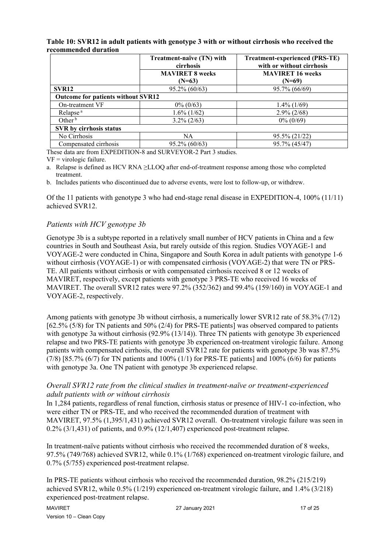|                                    | Treatment-naïve (TN) with<br>cirrhosis | <b>Treatment-experienced (PRS-TE)</b><br>with or without cirrhosis |  |  |
|------------------------------------|----------------------------------------|--------------------------------------------------------------------|--|--|
|                                    | <b>MAVIRET 8 weeks</b><br>$(N=63)$     | <b>MAVIRET 16 weeks</b><br>$(N=69)$                                |  |  |
| SVR <sub>12</sub>                  | $95.2\% (60/63)$                       | 95.7% (66/69)                                                      |  |  |
| Outcome for patients without SVR12 |                                        |                                                                    |  |  |
| On-treatment VF                    | $0\% (0/63)$                           | $1.4\%$ (1/69)                                                     |  |  |
| Relapse <sup>a</sup>               | $1.6\%$ (1/62)                         | $2.9\%$ (2/68)                                                     |  |  |
| Other $b$                          | $3.2\% (2/63)$                         | $0\% (0/69)$                                                       |  |  |
| SVR by cirrhosis status            |                                        |                                                                    |  |  |
| No Cirrhosis                       | <b>NA</b>                              | 95.5% (21/22)                                                      |  |  |
| Compensated cirrhosis              | $95.2\%$ (60/63)                       | 95.7% (45/47)                                                      |  |  |

#### **Table 10: SVR12 in adult patients with genotype 3 with or without cirrhosis who received the recommended duration**

These data are from EXPEDITION-8 and SURVEYOR-2 Part 3 studies.

 $VF = virologic failure.$ 

a. Relapse is defined as HCV RNA ≥LLOQ after end-of-treatment response among those who completed treatment.

b. Includes patients who discontinued due to adverse events, were lost to follow-up, or withdrew.

Of the 11 patients with genotype 3 who had end-stage renal disease in EXPEDITION-4, 100% (11/11) achieved SVR12.

## *Patients with HCV genotype 3b*

Genotype 3b is a subtype reported in a relatively small number of HCV patients in China and a few countries in South and Southeast Asia, but rarely outside of this region. Studies VOYAGE-1 and VOYAGE-2 were conducted in China, Singapore and South Korea in adult patients with genotype 1-6 without cirrhosis (VOYAGE-1) or with compensated cirrhosis (VOYAGE-2) that were TN or PRS-TE. All patients without cirrhosis or with compensated cirrhosis received 8 or 12 weeks of MAVIRET, respectively, except patients with genotype 3 PRS-TE who received 16 weeks of MAVIRET. The overall SVR12 rates were 97.2% (352/362) and 99.4% (159/160) in VOYAGE-1 and VOYAGE-2, respectively.

Among patients with genotype 3b without cirrhosis, a numerically lower SVR12 rate of 58.3% (7/12) [62.5% (5/8) for TN patients and 50% (2/4) for PRS-TE patients] was observed compared to patients with genotype 3a without cirrhosis (92.9% (13/14)). Three TN patients with genotype 3b experienced relapse and two PRS-TE patients with genotype 3b experienced on-treatment virologic failure. Among patients with compensated cirrhosis, the overall SVR12 rate for patients with genotype 3b was 87.5% (7/8) [85.7% (6/7) for TN patients and 100% (1/1) for PRS-TE patients] and 100% (6/6) for patients with genotype 3a. One TN patient with genotype 3b experienced relapse.

## *Overall SVR12 rate from the clinical studies in treatment-naïve or treatment-experienced adult patients with or without cirrhosis*

In 1,284 patients, regardless of renal function, cirrhosis status or presence of HIV-1 co-infection, who were either TN or PRS-TE, and who received the recommended duration of treatment with MAVIRET, 97.5% (1,395/1,431) achieved SVR12 overall. On-treatment virologic failure was seen in 0.2% (3/1,431) of patients, and 0.9% (12/1,407) experienced post-treatment relapse.

In treatment-naïve patients without cirrhosis who received the recommended duration of 8 weeks, 97.5% (749/768) achieved SVR12, while 0.1% (1/768) experienced on-treatment virologic failure, and 0.7% (5/755) experienced post-treatment relapse.

In PRS-TE patients without cirrhosis who received the recommended duration, 98.2% (215/219) achieved SVR12, while 0.5% (1/219) experienced on-treatment virologic failure, and 1.4% (3/218) experienced post-treatment relapse.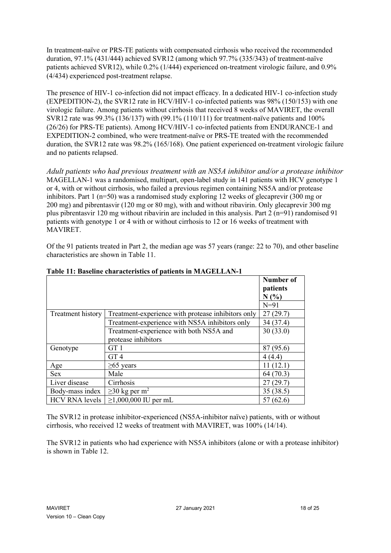In treatment-naïve or PRS-TE patients with compensated cirrhosis who received the recommended duration, 97.1% (431/444) achieved SVR12 (among which 97.7% (335/343) of treatment-naïve patients achieved SVR12), while 0.2% (1/444) experienced on-treatment virologic failure, and 0.9% (4/434) experienced post-treatment relapse.

The presence of HIV-1 co-infection did not impact efficacy. In a dedicated HIV-1 co-infection study (EXPEDITION-2), the SVR12 rate in HCV/HIV-1 co-infected patients was 98% (150/153) with one virologic failure. Among patients without cirrhosis that received 8 weeks of MAVIRET, the overall SVR12 rate was 99.3% (136/137) with (99.1% (110/111) for treatment-naïve patients and 100% (26/26) for PRS-TE patients). Among HCV/HIV-1 co-infected patients from ENDURANCE-1 and EXPEDITION-2 combined, who were treatment-naïve or PRS-TE treated with the recommended duration, the SVR12 rate was 98.2% (165/168). One patient experienced on-treatment virologic failure and no patients relapsed.

*Adult patients who had previous treatment with an NS5A inhibitor and/or a protease inhibitor* MAGELLAN-1 was a randomised, multipart, open-label study in 141 patients with HCV genotype 1 or 4, with or without cirrhosis, who failed a previous regimen containing NS5A and/or protease inhibitors. Part 1 (n=50) was a randomised study exploring 12 weeks of glecaprevir (300 mg or 200 mg) and pibrentasvir (120 mg or 80 mg), with and without ribavirin. Only glecaprevir 300 mg plus pibrentasvir 120 mg without ribavirin are included in this analysis. Part  $2(n=91)$  randomised 91 patients with genotype 1 or 4 with or without cirrhosis to 12 or 16 weeks of treatment with MAVIRET.

Of the 91 patients treated in Part 2, the median age was 57 years (range: 22 to 70), and other baseline characteristics are shown in Table 11.

|                   |                                                    | Number of |
|-------------------|----------------------------------------------------|-----------|
|                   |                                                    | patients  |
|                   |                                                    | N(%)      |
|                   |                                                    | $N=91$    |
| Treatment history | Treatment-experience with protease inhibitors only | 27(29.7)  |
|                   | Treatment-experience with NS5A inhibitors only     | 34 (37.4) |
|                   | Treatment-experience with both NS5A and            | 30(33.0)  |
|                   | protease inhibitors                                |           |
| Genotype          | GT 1                                               | 87 (95.6) |
|                   | GT <sub>4</sub>                                    | 4(4.4)    |
| Age               | $\geq 65$ years                                    | 11(12.1)  |
| <b>Sex</b>        | Male                                               | 64(70.3)  |
| Liver disease     | Cirrhosis                                          | 27(29.7)  |
| Body-mass index   | $\geq$ 30 kg per m <sup>2</sup>                    | 35(38.5)  |
| HCV RNA levels    | $≥1,000,000$ IU per mL                             | 57(62.6)  |

#### **Table 11: Baseline characteristics of patients in MAGELLAN-1**

The SVR12 in protease inhibitor-experienced (NS5A-inhibitor naïve) patients, with or without cirrhosis, who received 12 weeks of treatment with MAVIRET, was 100% (14/14).

The SVR12 in patients who had experience with NS5A inhibitors (alone or with a protease inhibitor) is shown in Table 12.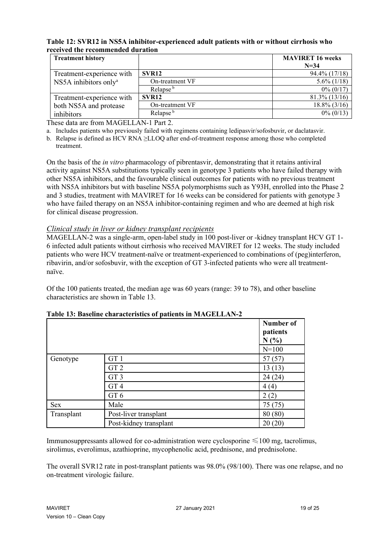#### **Table 12: SVR12 in NS5A inhibitor-experienced adult patients with or without cirrhosis who received the recommended duration**

| <b>Treatment history</b>          |                      | <b>MAVIRET 16 weeks</b><br>$N = 34$ |
|-----------------------------------|----------------------|-------------------------------------|
| Treatment-experience with         | SVR <sub>12</sub>    | 94.4% (17/18)                       |
| NS5A inhibitors only <sup>a</sup> | On-treatment VF      | $5.6\%$ (1/18)                      |
|                                   | Relapse <sup>b</sup> | $0\%$ (0/17)                        |
| Treatment-experience with         | SVR <sub>12</sub>    | $81.3\%$ (13/16)                    |
| both NS5A and protease            | On-treatment VF      | $18.8\%$ (3/16)                     |
| inhibitors                        | Relapse <sup>b</sup> | $0\% (0/13)$                        |

These data are from MAGELLAN-1 Part 2.

a. Includes patients who previously failed with regimens containing ledipasvir/sofosbuvir, or daclatasvir.

b. Relapse is defined as HCV RNA ≥LLOQ after end-of-treatment response among those who completed treatment.

On the basis of the *in vitro* pharmacology of pibrentasvir, demonstrating that it retains antiviral activity against NS5A substitutions typically seen in genotype 3 patients who have failed therapy with other NS5A inhibitors, and the favourable clinical outcomes for patients with no previous treatment with NS5A inhibitors but with baseline NS5A polymorphisms such as Y93H, enrolled into the Phase 2 and 3 studies, treatment with MAVIRET for 16 weeks can be considered for patients with genotype 3 who have failed therapy on an NS5A inhibitor-containing regimen and who are deemed at high risk for clinical disease progression.

#### *Clinical study in liver or kidney transplant recipients*

MAGELLAN-2 was a single-arm, open-label study in 100 post-liver or -kidney transplant HCV GT 1- 6 infected adult patients without cirrhosis who received MAVIRET for 12 weeks. The study included patients who were HCV treatment-naïve or treatment-experienced to combinations of (peg)interferon, ribavirin, and/or sofosbuvir, with the exception of GT 3-infected patients who were all treatmentnaïve.

Of the 100 patients treated, the median age was 60 years (range: 39 to 78), and other baseline characteristics are shown in Table 13.

|            |                        | Number of<br>patients<br>N(%) |
|------------|------------------------|-------------------------------|
|            |                        | $N = 100$                     |
| Genotype   | GT <sub>1</sub>        | 57(57)                        |
|            | GT <sub>2</sub>        | 13(13)                        |
|            | GT <sub>3</sub>        | 24(24)                        |
|            | GT <sub>4</sub>        | 4(4)                          |
|            | GT <sub>6</sub>        | 2(2)                          |
| Sex        | Male                   | 75(75)                        |
| Transplant | Post-liver transplant  | 80 (80)                       |
|            | Post-kidney transplant | 20(20)                        |

#### **Table 13: Baseline characteristics of patients in MAGELLAN-2**

Immunosuppressants allowed for co-administration were cyclosporine  $\leq 100$  mg, tacrolimus, sirolimus, everolimus, azathioprine, mycophenolic acid, prednisone, and prednisolone.

The overall SVR12 rate in post-transplant patients was 98.0% (98/100). There was one relapse, and no on-treatment virologic failure.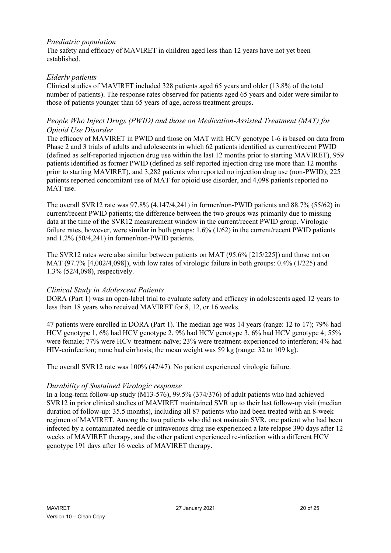## *Paediatric population*

The safety and efficacy of MAVIRET in children aged less than 12 years have not yet been established.

#### *Elderly patients*

Clinical studies of MAVIRET included 328 patients aged 65 years and older (13.8% of the total number of patients). The response rates observed for patients aged 65 years and older were similar to those of patients younger than 65 years of age, across treatment groups.

## *People Who Inject Drugs (PWID) and those on Medication-Assisted Treatment (MAT) for Opioid Use Disorder*

The efficacy of MAVIRET in PWID and those on MAT with HCV genotype 1-6 is based on data from Phase 2 and 3 trials of adults and adolescents in which 62 patients identified as current/recent PWID (defined as self-reported injection drug use within the last 12 months prior to starting MAVIRET), 959 patients identified as former PWID (defined as self-reported injection drug use more than 12 months prior to starting MAVIRET), and 3,282 patients who reported no injection drug use (non-PWID); 225 patients reported concomitant use of MAT for opioid use disorder, and 4,098 patients reported no MAT use.

The overall SVR12 rate was  $97.8\%$  (4,147/4,241) in former/non-PWID patients and  $88.7\%$  (55/62) in current/recent PWID patients; the difference between the two groups was primarily due to missing data at the time of the SVR12 measurement window in the current/recent PWID group. Virologic failure rates, however, were similar in both groups: 1.6% (1/62) in the current/recent PWID patients and 1.2% (50/4,241) in former/non-PWID patients.

The SVR12 rates were also similar between patients on MAT (95.6% [215/225]) and those not on MAT (97.7% [4,002/4,098]), with low rates of virologic failure in both groups: 0.4% (1/225) and 1.3% (52/4,098), respectively.

#### *Clinical Study in Adolescent Patients*

DORA (Part 1) was an open-label trial to evaluate safety and efficacy in adolescents aged 12 years to less than 18 years who received MAVIRET for 8, 12, or 16 weeks.

47 patients were enrolled in DORA (Part 1). The median age was 14 years (range: 12 to 17); 79% had HCV genotype 1, 6% had HCV genotype 2, 9% had HCV genotype 3, 6% had HCV genotype 4; 55% were female; 77% were HCV treatment-naïve; 23% were treatment-experienced to interferon; 4% had HIV-coinfection; none had cirrhosis; the mean weight was 59 kg (range: 32 to 109 kg).

The overall SVR12 rate was 100% (47/47). No patient experienced virologic failure.

#### *Durability of Sustained Virologic response*

In a long-term follow-up study (M13-576), 99.5% (374/376) of adult patients who had achieved SVR12 in prior clinical studies of MAVIRET maintained SVR up to their last follow-up visit (median duration of follow-up: 35.5 months), including all 87 patients who had been treated with an 8-week regimen of MAVIRET. Among the two patients who did not maintain SVR, one patient who had been infected by a contaminated needle or intravenous drug use experienced a late relapse 390 days after 12 weeks of MAVIRET therapy, and the other patient experienced re-infection with a different HCV genotype 191 days after 16 weeks of MAVIRET therapy.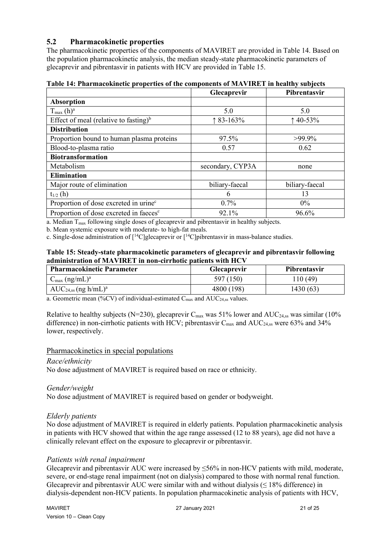# **5.2 Pharmacokinetic properties**

The pharmacokinetic properties of the components of MAVIRET are provided in Table 14. Based on the population pharmacokinetic analysis, the median steady-state pharmacokinetic parameters of glecaprevir and pibrentasvir in patients with HCV are provided in Table 15.

|                                                    | <b>Glecaprevir</b> | Pibrentasvir   |
|----------------------------------------------------|--------------------|----------------|
| Absorption                                         |                    |                |
| $T_{\text{max}}$ (h) <sup>a</sup>                  | 5.0                | 5.0            |
| Effect of meal (relative to fasting) <sup>b</sup>  | $\uparrow$ 83-163% | $140 - 53%$    |
| <b>Distribution</b>                                |                    |                |
| Proportion bound to human plasma proteins          | 97.5%              | $>99.9\%$      |
| Blood-to-plasma ratio                              | 0.57               | 0.62           |
| <b>Biotransformation</b>                           |                    |                |
| Metabolism                                         | secondary, CYP3A   | none           |
| <b>Elimination</b>                                 |                    |                |
| Major route of elimination                         | biliary-faecal     | biliary-faecal |
| $t_{1/2}$ (h)                                      | 6                  | 13             |
| Proportion of dose excreted in urine <sup>c</sup>  | $0.7\%$            | $0\%$          |
| Proportion of dose excreted in faeces <sup>c</sup> | 92.1%              | 96.6%          |

**Table 14: Pharmacokinetic properties of the components of MAVIRET in healthy subjects**

a. Median T<sub>max</sub> following single doses of glecaprevir and pibrentasvir in healthy subjects.

b. Mean systemic exposure with moderate- to high-fat meals.

c. Single-dose administration of  $\lceil {^{14}C} \rceil$ glecaprevir or  $\lceil {^{14}C} \rceil$ pibrentasvir in mass-balance studies.

#### **Table 15: Steady-state pharmacokinetic parameters of glecaprevir and pibrentasvir following administration of MAVIRET in non-cirrhotic patients with HCV**

| <b>Pharmacokinetic Parameter</b>      | <b>Glecaprevir</b> | <b>Pibrentasvir</b> |
|---------------------------------------|--------------------|---------------------|
| $C_{\text{max}}$ (ng/mL) <sup>a</sup> | 597 (150)          | 110 (49)            |
| $AUC_{24,ss}$ (ng h/mL) <sup>a</sup>  | 4800 (198)         | 1430 (63)           |

a. Geometric mean (%CV) of individual-estimated  $C_{\text{max}}$  and  $AUC_{24,ss}$  values.

Relative to healthy subjects (N=230), glecaprevir  $C_{\text{max}}$  was 51% lower and AUC<sub>24,ss</sub> was similar (10%) difference) in non-cirrhotic patients with HCV; pibrentasvir  $C_{\text{max}}$  and  $AUC_{24,ss}$  were 63% and 34% lower, respectively.

#### Pharmacokinetics in special populations

#### *Race/ethnicity*

No dose adjustment of MAVIRET is required based on race or ethnicity.

#### *Gender/weight*

No dose adjustment of MAVIRET is required based on gender or bodyweight.

#### *Elderly patients*

No dose adjustment of MAVIRET is required in elderly patients. Population pharmacokinetic analysis in patients with HCV showed that within the age range assessed (12 to 88 years), age did not have a clinically relevant effect on the exposure to glecaprevir or pibrentasvir.

#### *Patients with renal impairment*

Glecaprevir and pibrentasvir AUC were increased by ≤56% in non-HCV patients with mild, moderate, severe, or end-stage renal impairment (not on dialysis) compared to those with normal renal function. Glecaprevir and pibrentasvir AUC were similar with and without dialysis ( $\leq$  18% difference) in dialysis-dependent non-HCV patients. In population pharmacokinetic analysis of patients with HCV,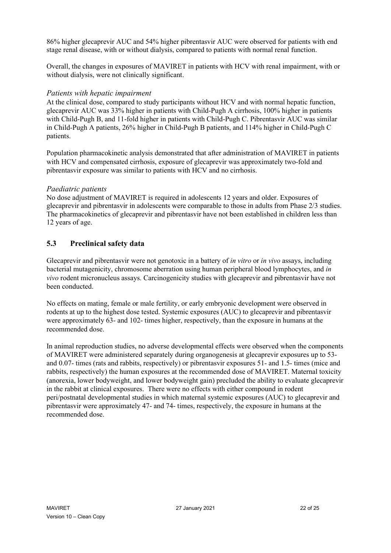86% higher glecaprevir AUC and 54% higher pibrentasvir AUC were observed for patients with end stage renal disease, with or without dialysis, compared to patients with normal renal function.

Overall, the changes in exposures of MAVIRET in patients with HCV with renal impairment, with or without dialysis, were not clinically significant.

## *Patients with hepatic impairment*

At the clinical dose, compared to study participants without HCV and with normal hepatic function, glecaprevir AUC was 33% higher in patients with Child-Pugh A cirrhosis, 100% higher in patients with Child-Pugh B, and 11-fold higher in patients with Child-Pugh C. Pibrentasvir AUC was similar in Child-Pugh A patients, 26% higher in Child-Pugh B patients, and 114% higher in Child-Pugh C patients.

Population pharmacokinetic analysis demonstrated that after administration of MAVIRET in patients with HCV and compensated cirrhosis, exposure of glecaprevir was approximately two-fold and pibrentasvir exposure was similar to patients with HCV and no cirrhosis.

#### *Paediatric patients*

No dose adjustment of MAVIRET is required in adolescents 12 years and older. Exposures of glecaprevir and pibrentasvir in adolescents were comparable to those in adults from Phase 2/3 studies. The pharmacokinetics of glecaprevir and pibrentasvir have not been established in children less than 12 years of age.

## **5.3 Preclinical safety data**

Glecaprevir and pibrentasvir were not genotoxic in a battery of *in vitro* or *in vivo* assays, including bacterial mutagenicity, chromosome aberration using human peripheral blood lymphocytes, and *in vivo* rodent micronucleus assays. Carcinogenicity studies with glecaprevir and pibrentasvir have not been conducted.

No effects on mating, female or male fertility, or early embryonic development were observed in rodents at up to the highest dose tested. Systemic exposures (AUC) to glecaprevir and pibrentasvir were approximately 63- and 102- times higher, respectively, than the exposure in humans at the recommended dose.

In animal reproduction studies, no adverse developmental effects were observed when the components of MAVIRET were administered separately during organogenesis at glecaprevir exposures up to 53 and 0.07- times (rats and rabbits, respectively) or pibrentasvir exposures 51- and 1.5- times (mice and rabbits, respectively) the human exposures at the recommended dose of MAVIRET. Maternal toxicity (anorexia, lower bodyweight, and lower bodyweight gain) precluded the ability to evaluate glecaprevir in the rabbit at clinical exposures. There were no effects with either compound in rodent peri/postnatal developmental studies in which maternal systemic exposures (AUC) to glecaprevir and pibrentasvir were approximately 47- and 74- times, respectively, the exposure in humans at the recommended dose.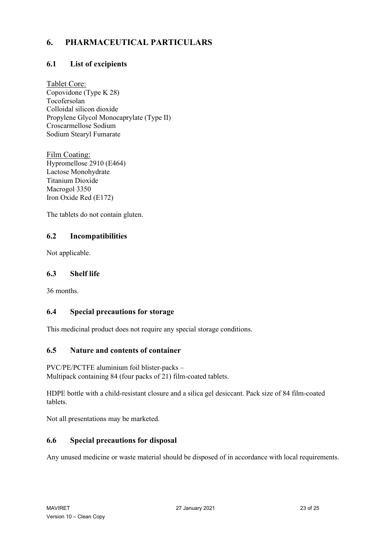# **6. PHARMACEUTICAL PARTICULARS**

# **6.1 List of excipients**

Tablet Core: Copovidone (Type K 28) Tocofersolan Colloidal silicon dioxide Propylene Glycol Monocaprylate (Type II) Croscarmellose Sodium Sodium Stearyl Fumarate

Film Coating: Hypromellose 2910 (E464) Lactose Monohydrate Titanium Dioxide Macrogol 3350 Iron Oxide Red (E172)

The tablets do not contain gluten.

# **6.2 Incompatibilities**

Not applicable.

# **6.3 Shelf life**

36 months.

# **6.4 Special precautions for storage**

This medicinal product does not require any special storage conditions.

# **6.5 Nature and contents of container**

PVC/PE/PCTFE aluminium foil blister-packs – Multipack containing 84 (four packs of 21) film-coated tablets.

HDPE bottle with a child-resistant closure and a silica gel desiccant. Pack size of 84 film-coated tablets.

Not all presentations may be marketed.

# **6.6 Special precautions for disposal**

Any unused medicine or waste material should be disposed of in accordance with local requirements.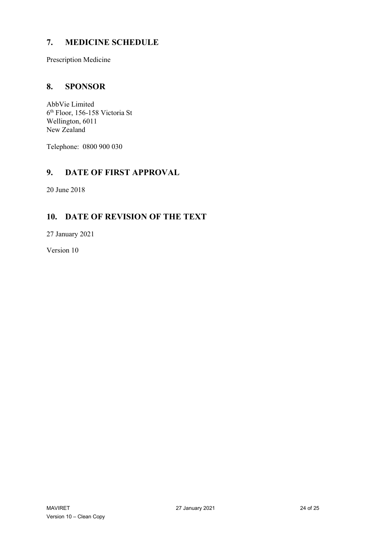# **7. MEDICINE SCHEDULE**

Prescription Medicine

# **8. SPONSOR**

AbbVie Limited 6th Floor, 156-158 Victoria St Wellington, 6011 New Zealand

Telephone: 0800 900 030

# **9. DATE OF FIRST APPROVAL**

20 June 2018

# **10. DATE OF REVISION OF THE TEXT**

27 January 2021

Version 10